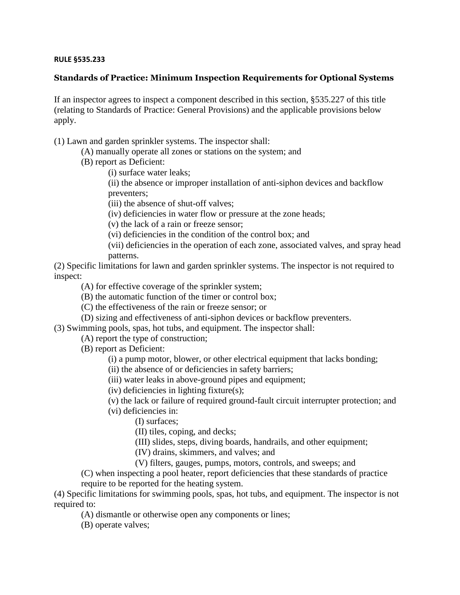## **RULE §535.233**

## **Standards of Practice: Minimum Inspection Requirements for Optional Systems**

If an inspector agrees to inspect a component described in this section, §535.227 of this title (relating to Standards of Practice: General Provisions) and the applicable provisions below apply.

(1) Lawn and garden sprinkler systems. The inspector shall:

- (A) manually operate all zones or stations on the system; and
- (B) report as Deficient:

(i) surface water leaks;

(ii) the absence or improper installation of anti-siphon devices and backflow preventers;

(iii) the absence of shut-off valves;

(iv) deficiencies in water flow or pressure at the zone heads;

(v) the lack of a rain or freeze sensor;

(vi) deficiencies in the condition of the control box; and

(vii) deficiencies in the operation of each zone, associated valves, and spray head patterns.

(2) Specific limitations for lawn and garden sprinkler systems. The inspector is not required to inspect:

(A) for effective coverage of the sprinkler system;

(B) the automatic function of the timer or control box;

(C) the effectiveness of the rain or freeze sensor; or

(D) sizing and effectiveness of anti-siphon devices or backflow preventers.

(3) Swimming pools, spas, hot tubs, and equipment. The inspector shall:

(A) report the type of construction;

(B) report as Deficient:

(i) a pump motor, blower, or other electrical equipment that lacks bonding;

(ii) the absence of or deficiencies in safety barriers;

(iii) water leaks in above-ground pipes and equipment;

(iv) deficiencies in lighting fixture(s);

(v) the lack or failure of required ground-fault circuit interrupter protection; and

(vi) deficiencies in:

(I) surfaces;

(II) tiles, coping, and decks;

(III) slides, steps, diving boards, handrails, and other equipment;

(IV) drains, skimmers, and valves; and

(V) filters, gauges, pumps, motors, controls, and sweeps; and

(C) when inspecting a pool heater, report deficiencies that these standards of practice require to be reported for the heating system.

(4) Specific limitations for swimming pools, spas, hot tubs, and equipment. The inspector is not required to:

(A) dismantle or otherwise open any components or lines;

(B) operate valves;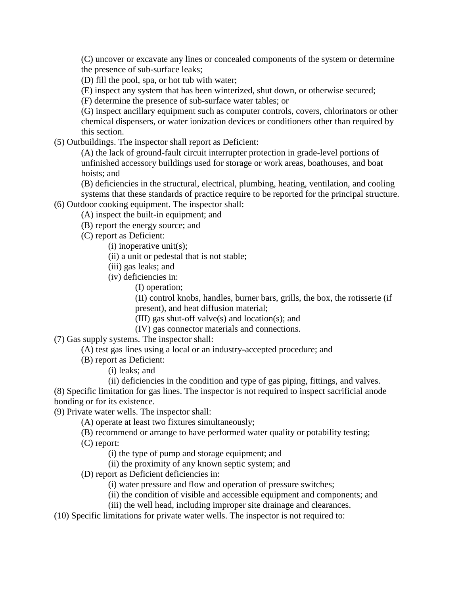(C) uncover or excavate any lines or concealed components of the system or determine the presence of sub-surface leaks;

(D) fill the pool, spa, or hot tub with water;

(E) inspect any system that has been winterized, shut down, or otherwise secured;

(F) determine the presence of sub-surface water tables; or

(G) inspect ancillary equipment such as computer controls, covers, chlorinators or other chemical dispensers, or water ionization devices or conditioners other than required by this section.

(5) Outbuildings. The inspector shall report as Deficient:

(A) the lack of ground-fault circuit interrupter protection in grade-level portions of unfinished accessory buildings used for storage or work areas, boathouses, and boat hoists; and

(B) deficiencies in the structural, electrical, plumbing, heating, ventilation, and cooling systems that these standards of practice require to be reported for the principal structure.

(6) Outdoor cooking equipment. The inspector shall: (A) inspect the built-in equipment; and

(B) report the energy source; and

(C) report as Deficient:

(i) inoperative unit(s);

(ii) a unit or pedestal that is not stable;

(iii) gas leaks; and

(iv) deficiencies in:

(I) operation;

(II) control knobs, handles, burner bars, grills, the box, the rotisserie (if present), and heat diffusion material;

(III) gas shut-off valve(s) and location(s); and

- (IV) gas connector materials and connections.
- (7) Gas supply systems. The inspector shall:

(A) test gas lines using a local or an industry-accepted procedure; and

(B) report as Deficient:

(i) leaks; and

(ii) deficiencies in the condition and type of gas piping, fittings, and valves.

(8) Specific limitation for gas lines. The inspector is not required to inspect sacrificial anode bonding or for its existence.

(9) Private water wells. The inspector shall:

(A) operate at least two fixtures simultaneously;

(B) recommend or arrange to have performed water quality or potability testing;

(C) report:

(i) the type of pump and storage equipment; and

(ii) the proximity of any known septic system; and

(D) report as Deficient deficiencies in:

(i) water pressure and flow and operation of pressure switches;

(ii) the condition of visible and accessible equipment and components; and

(iii) the well head, including improper site drainage and clearances.

(10) Specific limitations for private water wells. The inspector is not required to: